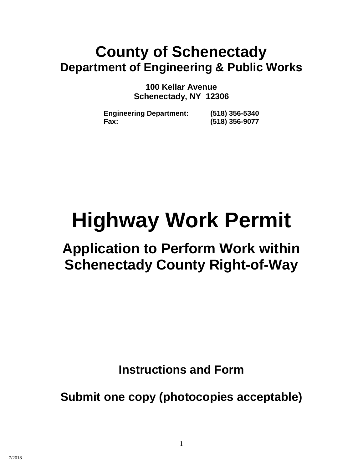# **County of Schenectady Department of Engineering & Public Works**

**100 Kellar Avenue Schenectady, NY 12306**

**Engineering Department: (518) 356-5340 Fax: (518) 356-9077**

# **Highway Work Permit**

# **Application to Perform Work within Schenectady County Right-of-Way**

**Instructions and Form**

**Submit one copy (photocopies acceptable)**

1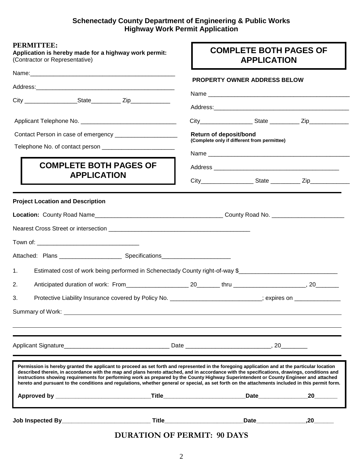# **Schenectady County Department of Engineering & Public Works Highway Work Permit Application**

| <b>PERMITTEE:</b><br>Application is hereby made for a highway work permit:<br>(Contractor or Representative)                                                                                                                                                                                                                                                                                                                                                                                                                                                                                 | <b>COMPLETE BOTH PAGES OF</b><br><b>APPLICATION</b>                          |             |  |  |  |  |  |
|----------------------------------------------------------------------------------------------------------------------------------------------------------------------------------------------------------------------------------------------------------------------------------------------------------------------------------------------------------------------------------------------------------------------------------------------------------------------------------------------------------------------------------------------------------------------------------------------|------------------------------------------------------------------------------|-------------|--|--|--|--|--|
| Name: Name:                                                                                                                                                                                                                                                                                                                                                                                                                                                                                                                                                                                  | <b>PROPERTY OWNER ADDRESS BELOW</b>                                          |             |  |  |  |  |  |
|                                                                                                                                                                                                                                                                                                                                                                                                                                                                                                                                                                                              |                                                                              |             |  |  |  |  |  |
|                                                                                                                                                                                                                                                                                                                                                                                                                                                                                                                                                                                              |                                                                              |             |  |  |  |  |  |
|                                                                                                                                                                                                                                                                                                                                                                                                                                                                                                                                                                                              |                                                                              |             |  |  |  |  |  |
|                                                                                                                                                                                                                                                                                                                                                                                                                                                                                                                                                                                              | <b>Return of deposit/bond</b><br>(Complete only if different from permittee) |             |  |  |  |  |  |
|                                                                                                                                                                                                                                                                                                                                                                                                                                                                                                                                                                                              |                                                                              |             |  |  |  |  |  |
| <b>COMPLETE BOTH PAGES OF</b>                                                                                                                                                                                                                                                                                                                                                                                                                                                                                                                                                                |                                                                              |             |  |  |  |  |  |
| <b>APPLICATION</b>                                                                                                                                                                                                                                                                                                                                                                                                                                                                                                                                                                           |                                                                              |             |  |  |  |  |  |
| <b>Project Location and Description</b>                                                                                                                                                                                                                                                                                                                                                                                                                                                                                                                                                      |                                                                              |             |  |  |  |  |  |
|                                                                                                                                                                                                                                                                                                                                                                                                                                                                                                                                                                                              |                                                                              |             |  |  |  |  |  |
|                                                                                                                                                                                                                                                                                                                                                                                                                                                                                                                                                                                              |                                                                              |             |  |  |  |  |  |
|                                                                                                                                                                                                                                                                                                                                                                                                                                                                                                                                                                                              |                                                                              |             |  |  |  |  |  |
| Estimated cost of work being performed in Schenectady County right-of-way \$<br>1.                                                                                                                                                                                                                                                                                                                                                                                                                                                                                                           |                                                                              |             |  |  |  |  |  |
| 2.                                                                                                                                                                                                                                                                                                                                                                                                                                                                                                                                                                                           |                                                                              |             |  |  |  |  |  |
| Protective Liability Insurance covered by Policy No. ___________________________; expires on _____________<br>3.                                                                                                                                                                                                                                                                                                                                                                                                                                                                             |                                                                              |             |  |  |  |  |  |
|                                                                                                                                                                                                                                                                                                                                                                                                                                                                                                                                                                                              |                                                                              |             |  |  |  |  |  |
| Applicant Signature 20 Date 20 Date 20 Date 20 Date 20 Date 20 Date 20 Date 20 Date 20 Date 20 Date 20 Date 20 Date 20 Date 20 Date 20 Date 20 Date 20 Date 20 Date 20 Date 20 Date 20 Date 20 Date 20 Date 20 Date 20 Date 20                                                                                                                                                                                                                                                                                                                                                               |                                                                              |             |  |  |  |  |  |
| Permission is hereby granted the applicant to proceed as set forth and represented in the foregoing application and at the particular location<br>described therein, in accordance with the map and plans hereto attached, and in accordance with the specifications, drawings, conditions and<br>instructions showing requirements for performing work as prepared by the County Highway Superintendent or County Engineer and attached<br>hereto and pursuant to the conditions and regulations, whether general or special, as set forth on the attachments included in this permit form. |                                                                              |             |  |  |  |  |  |
|                                                                                                                                                                                                                                                                                                                                                                                                                                                                                                                                                                                              |                                                                              |             |  |  |  |  |  |
|                                                                                                                                                                                                                                                                                                                                                                                                                                                                                                                                                                                              |                                                                              | Date 20, 20 |  |  |  |  |  |

# **DURATION OF PERMIT: 90 DAYS**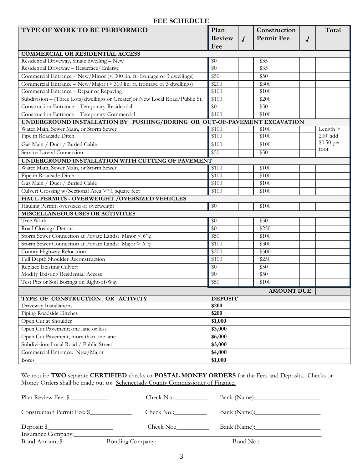# **FEE SCHEDULE**

| <b>TYPE OF WORK TO BE PERFORMED</b>                                          | Plan            |                | Construction      |   | Total      |  |
|------------------------------------------------------------------------------|-----------------|----------------|-------------------|---|------------|--|
|                                                                              | Review          | $\overline{J}$ | <b>Permit Fee</b> | J |            |  |
|                                                                              | Fee             |                |                   |   |            |  |
| <b>COMMERCIAL OR RESIDENTIAL ACCESS</b>                                      |                 |                |                   |   |            |  |
| Residential Driveway, Single dwelling - New                                  | $\overline{50}$ |                | \$35              |   |            |  |
| Residential Driveway - Resurface/Enlarge                                     | \$0             |                | $\overline{$35}$  |   |            |  |
| Commercial Entrance - New/Minor (< 300 lin. ft. frontage or 3 dwellings)     | \$50            |                | \$50              |   |            |  |
| Commercial Entrance - New/Major (> 300 lin. ft. frontage or 3 dwellings)     | \$200           |                | \$300             |   |            |  |
| Commercial Entrance - Repair or Repaving                                     | \$100           |                | \$100             |   |            |  |
| Subdivision - (Three Lots/dwellings or Greater) or New Local Road/Public St. | \$100           |                | \$200             |   |            |  |
| Construction Entrance - Temporary-Residential                                | $\overline{50}$ |                | \$50              |   |            |  |
| Construction Entrance - Temporary-Commercial                                 | $\sqrt{$100}$   |                | $\sqrt{$100}$     |   |            |  |
| UNDERGROUND INSTALLATION BY PUSHING/BORING OR OUT-OF-PAVEMENT EXCAVATION     |                 |                |                   |   |            |  |
| Water Main, Sewer Main, or Storm Sewer                                       | \$100           |                | \$100             |   | Length $>$ |  |
| Pipe in Roadside Ditch                                                       | \$100           |                | \$100             |   | $200'$ add |  |
| Gas Main / Duct / Buried Cable                                               | \$100           |                | \$100             |   | \$0.50 per |  |
| Service Lateral Connection                                                   | \$50            |                | \$50              |   | foot       |  |
| UNDERGROUND INSTALLATION WITH CUTTING OF PAVEMENT                            |                 |                |                   |   |            |  |
| Water Main, Sewer Main, or Storm Sewer                                       | \$100           |                | \$100             |   |            |  |
| Pipe in Roadside Ditch                                                       | \$100           |                | \$100             |   |            |  |
| Gas Main / Duct / Buried Cable                                               | \$100           |                | \$100             |   |            |  |
| Culvert Crossing w/Sectional Area >7.0 square feet                           | \$100           |                | \$100             |   |            |  |
| HAUL PERMITS - OVERWEIGHT / OVERSIZED VEHICLES                               |                 |                |                   |   |            |  |
| Hauling Permit; oversized or overweight                                      | \$0             |                | \$100             |   |            |  |
| <b>MISCELLANEOUS USES OR ACTIVITIES</b>                                      |                 |                |                   |   |            |  |
| Tree Work                                                                    | \$0             |                | \$50              |   |            |  |
| Road Closing/ Detour                                                         | \$0             |                | \$250             |   |            |  |
| Storm Sewer Connection at Private Lands; Minor < 6" $\varphi$                | \$50            |                | $\sqrt{$100}$     |   |            |  |
| Storm Sewer Connection at Private Lands: Major > 6" $\varphi$                | \$100           |                | \$300             |   |            |  |
| County Highway Relocation                                                    | \$200           |                | \$500             |   |            |  |
| Full Depth Shoulder Reconstruction                                           | \$100           |                | \$250             |   |            |  |
| Replace Existing Culvert                                                     | \$0             |                | \$50              |   |            |  |
| Modify Existing Residential Access                                           | \$0             |                | \$50              |   |            |  |
| Test Pits or Soil Borings on Right-of-Way                                    | \$50            |                | \$100             |   |            |  |
|                                                                              |                 |                | <b>AMOUNT DUE</b> |   |            |  |
| TYPE OF CONSTRUCTION OR ACTIVITY                                             | <b>DEPOSIT</b>  |                |                   |   |            |  |
| Driveway Installations                                                       | \$200           |                |                   |   |            |  |
| Piping Roadside Ditches                                                      | \$200           |                |                   |   |            |  |
| Open Cut at Shoulder                                                         | \$1,000         |                |                   |   |            |  |
| Open Cut Pavement; one lane or less                                          | \$3,000         |                |                   |   |            |  |
| Open Cut Pavement, more than one lane                                        | \$6,000         |                |                   |   |            |  |
| Subdivision; Local Road / Public Street                                      | \$3,000         |                |                   |   |            |  |
| Commercial Entrance: New/Major                                               | \$4,000         |                |                   |   |            |  |
| <b>Bores</b>                                                                 | \$1,000         |                |                   |   |            |  |

We require **TWO** separate **CERTIFIED** checks or **POSTAL MONEY ORDERS** for the Fees and Deposits. Checks or Money Orders shall be made out to: Schenectady County Commissioner of Finance.

| Plan Review Fee: \$               | Check No.:       |           |
|-----------------------------------|------------------|-----------|
| Construction Permit Fee: \$       |                  |           |
| Deposit: \$<br>Insurance Company: | Check No.:       |           |
| Bond Amount:\$                    | Bonding Company: | Bond No.: |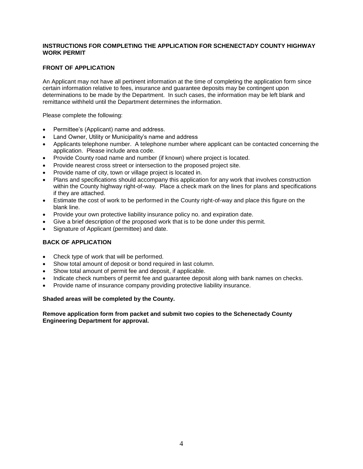#### **INSTRUCTIONS FOR COMPLETING THE APPLICATION FOR SCHENECTADY COUNTY HIGHWAY WORK PERMIT**

#### **FRONT OF APPLICATION**

An Applicant may not have all pertinent information at the time of completing the application form since certain information relative to fees, insurance and guarantee deposits may be contingent upon determinations to be made by the Department. In such cases, the information may be left blank and remittance withheld until the Department determines the information.

Please complete the following:

- Permittee's (Applicant) name and address.
- Land Owner, Utility or Municipality's name and address
- Applicants telephone number. A telephone number where applicant can be contacted concerning the application. Please include area code.
- Provide County road name and number (if known) where project is located.
- Provide nearest cross street or intersection to the proposed project site.
- Provide name of city, town or village project is located in.
- Plans and specifications should accompany this application for any work that involves construction within the County highway right-of-way. Place a check mark on the lines for plans and specifications if they are attached.
- Estimate the cost of work to be performed in the County right-of-way and place this figure on the blank line.
- Provide your own protective liability insurance policy no. and expiration date.
- Give a brief description of the proposed work that is to be done under this permit.
- Signature of Applicant (permittee) and date.

#### **BACK OF APPLICATION**

- Check type of work that will be performed.
- Show total amount of deposit or bond required in last column.
- Show total amount of permit fee and deposit, if applicable.
- Indicate check numbers of permit fee and guarantee deposit along with bank names on checks.
- Provide name of insurance company providing protective liability insurance.

#### **Shaded areas will be completed by the County.**

#### **Remove application form from packet and submit two copies to the Schenectady County Engineering Department for approval.**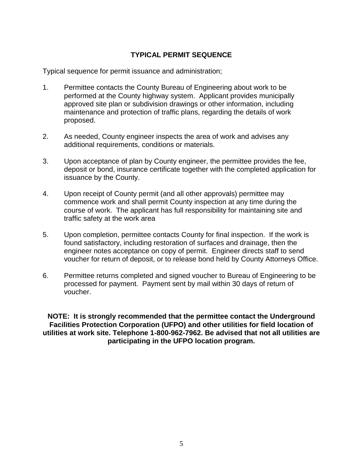# **TYPICAL PERMIT SEQUENCE**

Typical sequence for permit issuance and administration;

- 1. Permittee contacts the County Bureau of Engineering about work to be performed at the County highway system. Applicant provides municipally approved site plan or subdivision drawings or other information, including maintenance and protection of traffic plans, regarding the details of work proposed.
- 2. As needed, County engineer inspects the area of work and advises any additional requirements, conditions or materials.
- 3. Upon acceptance of plan by County engineer, the permittee provides the fee, deposit or bond, insurance certificate together with the completed application for issuance by the County.
- 4. Upon receipt of County permit (and all other approvals) permittee may commence work and shall permit County inspection at any time during the course of work. The applicant has full responsibility for maintaining site and traffic safety at the work area
- 5. Upon completion, permittee contacts County for final inspection. If the work is found satisfactory, including restoration of surfaces and drainage, then the engineer notes acceptance on copy of permit. Engineer directs staff to send voucher for return of deposit, or to release bond held by County Attorneys Office.
- 6. Permittee returns completed and signed voucher to Bureau of Engineering to be processed for payment. Payment sent by mail within 30 days of return of voucher.

**NOTE: It is strongly recommended that the permittee contact the Underground Facilities Protection Corporation (UFPO) and other utilities for field location of utilities at work site. Telephone 1-800-962-7962. Be advised that not all utilities are participating in the UFPO location program.**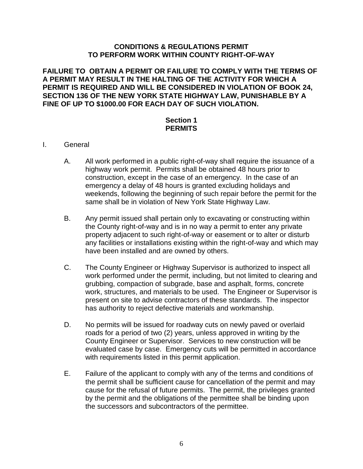# **CONDITIONS & REGULATIONS PERMIT TO PERFORM WORK WITHIN COUNTY RIGHT-OF-WAY**

**FAILURE TO OBTAIN A PERMIT OR FAILURE TO COMPLY WITH THE TERMS OF A PERMIT MAY RESULT IN THE HALTING OF THE ACTIVITY FOR WHICH A PERMIT IS REQUIRED AND WILL BE CONSIDERED IN VIOLATION OF BOOK 24, SECTION 136 OF THE NEW YORK STATE HIGHWAY LAW, PUNISHABLE BY A FINE OF UP TO \$1000.00 FOR EACH DAY OF SUCH VIOLATION.**

# **Section 1 PERMITS**

- I. General
	- A. All work performed in a public right-of-way shall require the issuance of a highway work permit. Permits shall be obtained 48 hours prior to construction, except in the case of an emergency. In the case of an emergency a delay of 48 hours is granted excluding holidays and weekends, following the beginning of such repair before the permit for the same shall be in violation of New York State Highway Law.
	- B. Any permit issued shall pertain only to excavating or constructing within the County right-of-way and is in no way a permit to enter any private property adjacent to such right-of-way or easement or to alter or disturb any facilities or installations existing within the right-of-way and which may have been installed and are owned by others.
	- C. The County Engineer or Highway Supervisor is authorized to inspect all work performed under the permit, including, but not limited to clearing and grubbing, compaction of subgrade, base and asphalt, forms, concrete work, structures, and materials to be used. The Engineer or Supervisor is present on site to advise contractors of these standards. The inspector has authority to reject defective materials and workmanship.
	- D. No permits will be issued for roadway cuts on newly paved or overlaid roads for a period of two (2) years, unless approved in writing by the County Engineer or Supervisor. Services to new construction will be evaluated case by case. Emergency cuts will be permitted in accordance with requirements listed in this permit application.
	- E. Failure of the applicant to comply with any of the terms and conditions of the permit shall be sufficient cause for cancellation of the permit and may cause for the refusal of future permits. The permit, the privileges granted by the permit and the obligations of the permittee shall be binding upon the successors and subcontractors of the permittee.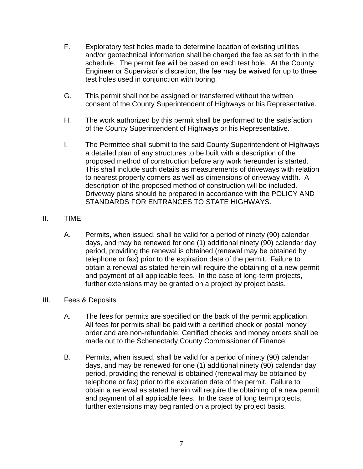- F. Exploratory test holes made to determine location of existing utilities and/or geotechnical information shall be charged the fee as set forth in the schedule. The permit fee will be based on each test hole. At the County Engineer or Supervisor's discretion, the fee may be waived for up to three test holes used in conjunction with boring.
- G. This permit shall not be assigned or transferred without the written consent of the County Superintendent of Highways or his Representative.
- H. The work authorized by this permit shall be performed to the satisfaction of the County Superintendent of Highways or his Representative.
- I. The Permittee shall submit to the said County Superintendent of Highways a detailed plan of any structures to be built with a description of the proposed method of construction before any work hereunder is started. This shall include such details as measurements of driveways with relation to nearest property corners as well as dimensions of driveway width. A description of the proposed method of construction will be included. Driveway plans should be prepared in accordance with the POLICY AND STANDARDS FOR ENTRANCES TO STATE HIGHWAYS.

# II. TIME

A. Permits, when issued, shall be valid for a period of ninety (90) calendar days, and may be renewed for one (1) additional ninety (90) calendar day period, providing the renewal is obtained (renewal may be obtained by telephone or fax) prior to the expiration date of the permit. Failure to obtain a renewal as stated herein will require the obtaining of a new permit and payment of all applicable fees. In the case of long-term projects, further extensions may be granted on a project by project basis.

# III. Fees & Deposits

- A. The fees for permits are specified on the back of the permit application. All fees for permits shall be paid with a certified check or postal money order and are non-refundable. Certified checks and money orders shall be made out to the Schenectady County Commissioner of Finance.
- B. Permits, when issued, shall be valid for a period of ninety (90) calendar days, and may be renewed for one (1) additional ninety (90) calendar day period, providing the renewal is obtained (renewal may be obtained by telephone or fax) prior to the expiration date of the permit. Failure to obtain a renewal as stated herein will require the obtaining of a new permit and payment of all applicable fees. In the case of long term projects, further extensions may beg ranted on a project by project basis.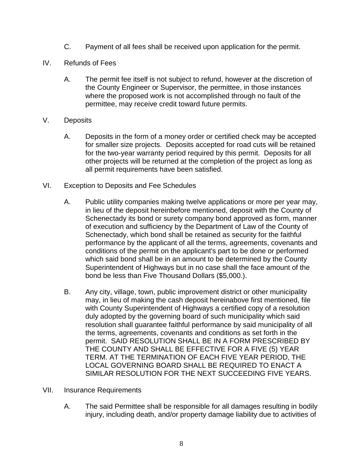- C. Payment of all fees shall be received upon application for the permit.
- IV. Refunds of Fees
	- A. The permit fee itself is not subject to refund, however at the discretion of the County Engineer or Supervisor, the permittee, in those instances where the proposed work is not accomplished through no fault of the permittee, may receive credit toward future permits.
- V. Deposits
	- A. Deposits in the form of a money order or certified check may be accepted for smaller size projects. Deposits accepted for road cuts will be retained for the two-year warranty period required by this permit. Deposits for all other projects will be returned at the completion of the project as long as all permit requirements have been satisfied.
- VI. Exception to Deposits and Fee Schedules
	- A. Public utility companies making twelve applications or more per year may, in lieu of the deposit hereinbefore mentioned, deposit with the County of Schenectady its bond or surety company bond approved as form, manner of execution and sufficiency by the Department of Law of the County of Schenectady, which bond shall be retained as security for the faithful performance by the applicant of all the terms, agreements, covenants and conditions of the permit on the applicant's part to be done or performed which said bond shall be in an amount to be determined by the County Superintendent of Highways but in no case shall the face amount of the bond be less than Five Thousand Dollars (\$5,000.).
	- B. Any city, village, town, public improvement district or other municipality may, in lieu of making the cash deposit hereinabove first mentioned, file with County Superintendent of Highways a certified copy of a resolution duly adopted by the governing board of such municipality which said resolution shall guarantee faithful performance by said municipality of all the terms, agreements, covenants and conditions as set forth in the permit. SAID RESOLUTION SHALL BE IN A FORM PRESCRIBED BY THE COUNTY AND SHALL BE EFFECTIVE FOR A FIVE (5) YEAR TERM. AT THE TERMINATION OF EACH FIVE YEAR PERIOD, THE LOCAL GOVERNING BOARD SHALL BE REQUIRED TO ENACT A SIMILAR RESOLUTION FOR THE NEXT SUCCEEDING FIVE YEARS.
- VII. Insurance Requirements
	- A. The said Permittee shall be responsible for all damages resulting in bodily injury, including death, and/or property damage liability due to activities of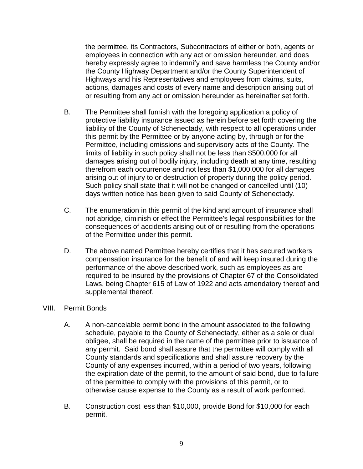the permittee, its Contractors, Subcontractors of either or both, agents or employees in connection with any act or omission hereunder, and does hereby expressly agree to indemnify and save harmless the County and/or the County Highway Department and/or the County Superintendent of Highways and his Representatives and employees from claims, suits, actions, damages and costs of every name and description arising out of or resulting from any act or omission hereunder as hereinafter set forth.

- B. The Permittee shall furnish with the foregoing application a policy of protective liability insurance issued as herein before set forth covering the liability of the County of Schenectady, with respect to all operations under this permit by the Permittee or by anyone acting by, through or for the Permittee, including omissions and supervisory acts of the County. The limits of liability in such policy shall not be less than \$500,000 for all damages arising out of bodily injury, including death at any time, resulting therefrom each occurrence and not less than \$1,000,000 for all damages arising out of injury to or destruction of property during the policy period. Such policy shall state that it will not be changed or cancelled until (10) days written notice has been given to said County of Schenectady.
- C. The enumeration in this permit of the kind and amount of insurance shall not abridge, diminish or effect the Permittee's legal responsibilities for the consequences of accidents arising out of or resulting from the operations of the Permittee under this permit.
- D. The above named Permittee hereby certifies that it has secured workers compensation insurance for the benefit of and will keep insured during the performance of the above described work, such as employees as are required to be insured by the provisions of Chapter 67 of the Consolidated Laws, being Chapter 615 of Law of 1922 and acts amendatory thereof and supplemental thereof.

#### VIII. Permit Bonds

- A. A non-cancelable permit bond in the amount associated to the following schedule, payable to the County of Schenectady, either as a sole or dual obligee, shall be required in the name of the permittee prior to issuance of any permit. Said bond shall assure that the permittee will comply with all County standards and specifications and shall assure recovery by the County of any expenses incurred, within a period of two years, following the expiration date of the permit, to the amount of said bond, due to failure of the permittee to comply with the provisions of this permit, or to otherwise cause expense to the County as a result of work performed.
- B. Construction cost less than \$10,000, provide Bond for \$10,000 for each permit.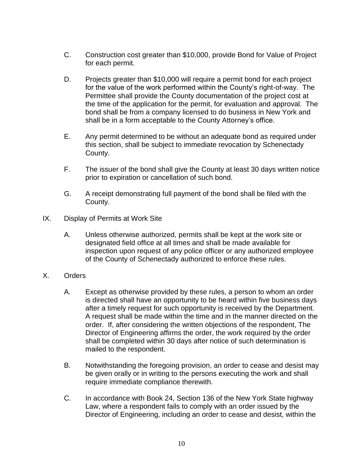- C. Construction cost greater than \$10,000, provide Bond for Value of Project for each permit.
- D. Projects greater than \$10,000 will require a permit bond for each project for the value of the work performed within the County's right-of-way. The Permittee shall provide the County documentation of the project cost at the time of the application for the permit, for evaluation and approval. The bond shall be from a company licensed to do business in New York and shall be in a form acceptable to the County Attorney's office.
- E. Any permit determined to be without an adequate bond as required under this section, shall be subject to immediate revocation by Schenectady County.
- F. The issuer of the bond shall give the County at least 30 days written notice prior to expiration or cancellation of such bond.
- G. A receipt demonstrating full payment of the bond shall be filed with the County.
- IX. Display of Permits at Work Site
	- A. Unless otherwise authorized, permits shall be kept at the work site or designated field office at all times and shall be made available for inspection upon request of any police officer or any authorized employee of the County of Schenectady authorized to enforce these rules.
- X. Orders
	- A. Except as otherwise provided by these rules, a person to whom an order is directed shall have an opportunity to be heard within five business days after a timely request for such opportunity is received by the Department. A request shall be made within the time and in the manner directed on the order. If, after considering the written objections of the respondent, The Director of Engineering affirms the order, the work required by the order shall be completed within 30 days after notice of such determination is mailed to the respondent.
	- B. Notwithstanding the foregoing provision, an order to cease and desist may be given orally or in writing to the persons executing the work and shall require immediate compliance therewith.
	- C. In accordance with Book 24, Section 136 of the New York State highway Law, where a respondent fails to comply with an order issued by the Director of Engineering, including an order to cease and desist, within the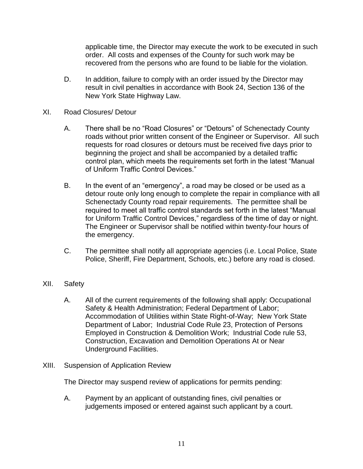applicable time, the Director may execute the work to be executed in such order. All costs and expenses of the County for such work may be recovered from the persons who are found to be liable for the violation.

- D. In addition, failure to comply with an order issued by the Director may result in civil penalties in accordance with Book 24, Section 136 of the New York State Highway Law.
- XI. Road Closures/ Detour
	- A. There shall be no "Road Closures" or "Detours" of Schenectady County roads without prior written consent of the Engineer or Supervisor. All such requests for road closures or detours must be received five days prior to beginning the project and shall be accompanied by a detailed traffic control plan, which meets the requirements set forth in the latest "Manual of Uniform Traffic Control Devices."
	- B. In the event of an "emergency", a road may be closed or be used as a detour route only long enough to complete the repair in compliance with all Schenectady County road repair requirements. The permittee shall be required to meet all traffic control standards set forth in the latest "Manual for Uniform Traffic Control Devices," regardless of the time of day or night. The Engineer or Supervisor shall be notified within twenty-four hours of the emergency.
	- C. The permittee shall notify all appropriate agencies (i.e. Local Police, State Police, Sheriff, Fire Department, Schools, etc.) before any road is closed.
- XII. Safety
	- A. All of the current requirements of the following shall apply: Occupational Safety & Health Administration; Federal Department of Labor; Accommodation of Utilities within State Right-of-Way; New York State Department of Labor; Industrial Code Rule 23, Protection of Persons Employed in Construction & Demolition Work; Industrial Code rule 53, Construction, Excavation and Demolition Operations At or Near Underground Facilities.
- XIII. Suspension of Application Review

The Director may suspend review of applications for permits pending:

A. Payment by an applicant of outstanding fines, civil penalties or judgements imposed or entered against such applicant by a court.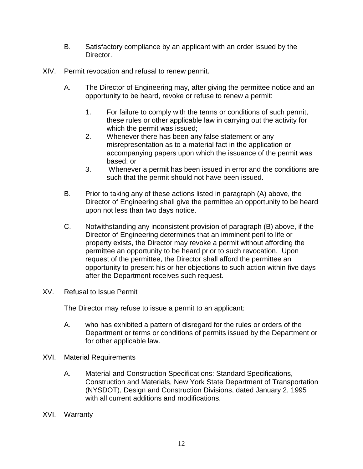- B. Satisfactory compliance by an applicant with an order issued by the Director.
- XIV. Permit revocation and refusal to renew permit.
	- A. The Director of Engineering may, after giving the permittee notice and an opportunity to be heard, revoke or refuse to renew a permit:
		- 1. For failure to comply with the terms or conditions of such permit, these rules or other applicable law in carrying out the activity for which the permit was issued;
		- 2. Whenever there has been any false statement or any misrepresentation as to a material fact in the application or accompanying papers upon which the issuance of the permit was based; or
		- 3. Whenever a permit has been issued in error and the conditions are such that the permit should not have been issued.
	- B. Prior to taking any of these actions listed in paragraph (A) above, the Director of Engineering shall give the permittee an opportunity to be heard upon not less than two days notice.
	- C. Notwithstanding any inconsistent provision of paragraph (B) above, if the Director of Engineering determines that an imminent peril to life or property exists, the Director may revoke a permit without affording the permittee an opportunity to be heard prior to such revocation. Upon request of the permittee, the Director shall afford the permittee an opportunity to present his or her objections to such action within five days after the Department receives such request.
- XV. Refusal to Issue Permit

The Director may refuse to issue a permit to an applicant:

- A. who has exhibited a pattern of disregard for the rules or orders of the Department or terms or conditions of permits issued by the Department or for other applicable law.
- XVI. Material Requirements
	- A. Material and Construction Specifications: Standard Specifications, Construction and Materials, New York State Department of Transportation (NYSDOT), Design and Construction Divisions, dated January 2, 1995 with all current additions and modifications.
- XVI. Warranty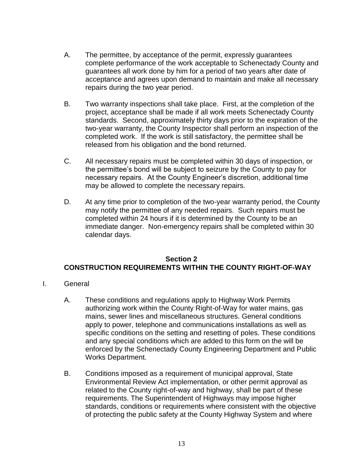- A. The permittee, by acceptance of the permit, expressly guarantees complete performance of the work acceptable to Schenectady County and guarantees all work done by him for a period of two years after date of acceptance and agrees upon demand to maintain and make all necessary repairs during the two year period.
- B. Two warranty inspections shall take place. First, at the completion of the project, acceptance shall be made if all work meets Schenectady County standards. Second, approximately thirty days prior to the expiration of the two-year warranty, the County Inspector shall perform an inspection of the completed work. If the work is still satisfactory, the permittee shall be released from his obligation and the bond returned.
- C. All necessary repairs must be completed within 30 days of inspection, or the permittee's bond will be subject to seizure by the County to pay for necessary repairs. At the County Engineer's discretion, additional time may be allowed to complete the necessary repairs.
- D. At any time prior to completion of the two-year warranty period, the County may notify the permittee of any needed repairs. Such repairs must be completed within 24 hours if it is determined by the County to be an immediate danger. Non-emergency repairs shall be completed within 30 calendar days.

# **Section 2 CONSTRUCTION REQUIREMENTS WITHIN THE COUNTY RIGHT-OF-WAY**

- I. General
	- A. These conditions and regulations apply to Highway Work Permits authorizing work within the County Right-of-Way for water mains, gas mains, sewer lines and miscellaneous structures. General conditions apply to power, telephone and communications installations as well as specific conditions on the setting and resetting of poles. These conditions and any special conditions which are added to this form on the will be enforced by the Schenectady County Engineering Department and Public Works Department.
	- B. Conditions imposed as a requirement of municipal approval, State Environmental Review Act implementation, or other permit approval as related to the County right-of-way and highway, shall be part of these requirements. The Superintendent of Highways may impose higher standards, conditions or requirements where consistent with the objective of protecting the public safety at the County Highway System and where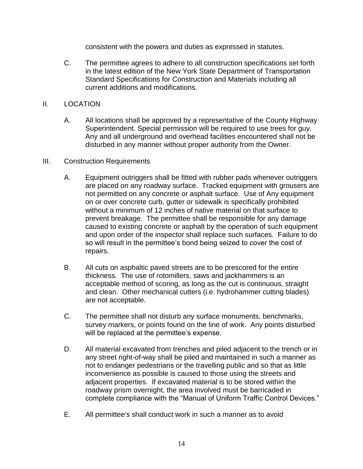consistent with the powers and duties as expressed in statutes.

C. The permittee agrees to adhere to all construction specifications set forth in the latest edition of the New York State Department of Transportation Standard Specifications for Construction and Materials including all current additions and modifications.

# II. LOCATION

- A. All locations shall be approved by a representative of the County Highway Superintendent. Special permission will be required to use trees for guy. Any and all underground and overhead facilities encountered shall not be disturbed in any manner without proper authority from the Owner.
- III. Construction Requirements
	- A. Equipment outriggers shall be fitted with rubber pads whenever outriggers are placed on any roadway surface. Tracked equipment with grousers are not permitted on any concrete or asphalt surface. Use of Any equipment on or over concrete curb, gutter or sidewalk is specifically prohibited without a minimum of 12 inches of native material on that surface to prevent breakage. The permittee shall be responsible for any damage caused to existing concrete or asphalt by the operation of such equipment and upon order of the inspector shall replace such surfaces. Failure to do so will result in the permittee's bond being seized to cover the cost of repairs.
	- B. All cuts on asphaltic paved streets are to be prescored for the entire thickness. The use of rotomillers, saws and jackhammers is an acceptable method of scoring, as long as the cut is continuous, straight and clean. Other mechanical cutters (i.e. hydrohammer cutting blades) are not acceptable.
	- C. The permittee shall not disturb any surface monuments, benchmarks, survey markers, or points found on the line of work. Any points disturbed will be replaced at the permittee's expense.
	- D. All material excavated from trenches and piled adjacent to the trench or in any street right-of-way shall be piled and maintained in such a manner as not to endanger pedestrians or the travelling public and so that as little inconvenience as possible is caused to those using the streets and adjacent properties. If excavated material is to be stored within the roadway prism overnight, the area involved must be barricaded in complete compliance with the "Manual of Uniform Traffic Control Devices."
	- E. All permittee's shall conduct work in such a manner as to avoid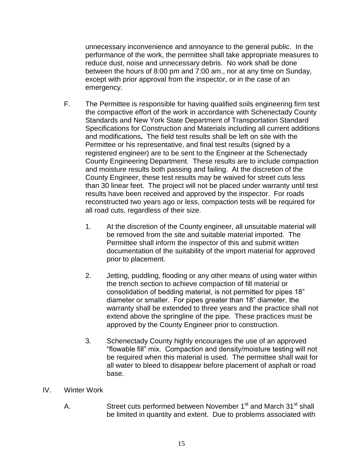unnecessary inconvenience and annoyance to the general public. In the performance of the work, the permittee shall take appropriate measures to reduce dust, noise and unnecessary debris. No work shall be done between the hours of 8:00 pm and 7:00 am., nor at any time on Sunday, except with prior approval from the inspector, or in the case of an emergency.

- F. The Permittee is responsible for having qualified soils engineering firm test the compactive effort of the work in accordance with Schenectady County Standards and New York State Department of Transportation Standard Specifications for Construction and Materials including all current additions and modifications**.** The field test results shall be left on site with the Permittee or his representative, and final test results (signed by a registered engineer) are to be sent to the Engineer at the Schenectady County Engineering Department. These results are to include compaction and moisture results both passing and failing. At the discretion of the County Engineer, these test results may be waived for street cuts less than 30 linear feet. The project will not be placed under warranty until test results have been received and approved by the inspector. For roads reconstructed two years ago or less, compaction tests will be required for all road cuts, regardless of their size.
	- 1. At the discretion of the County engineer, all unsuitable material will be removed from the site and suitable material imported. The Permittee shall inform the inspector of this and submit written documentation of the suitability of the import material for approved prior to placement.
	- 2. Jetting, puddling, flooding or any other means of using water within the trench section to achieve compaction of fill material or consolidation of bedding material, is not permitted for pipes 18" diameter or smaller. For pipes greater than 18" diameter, the warranty shall be extended to three years and the practice shall not extend above the springline of the pipe. These practices must be approved by the County Engineer prior to construction.
	- 3. Schenectady County highly encourages the use of an approved "flowable fill" mix. Compaction and density/moisture testing will not be required when this material is used. The permittee shall wait for all water to bleed to disappear before placement of asphalt or road base.
- IV. Winter Work
	- A. Street cuts performed between November 1<sup>st</sup> and March 31<sup>st</sup> shall be limited in quantity and extent. Due to problems associated with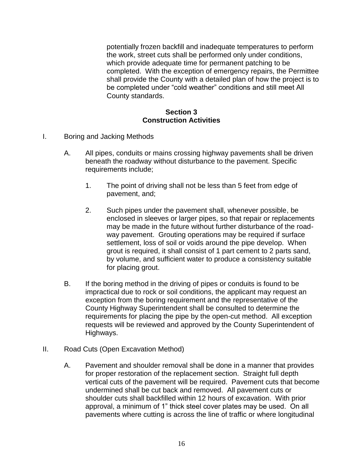potentially frozen backfill and inadequate temperatures to perform the work, street cuts shall be performed only under conditions, which provide adequate time for permanent patching to be completed. With the exception of emergency repairs, the Permittee shall provide the County with a detailed plan of how the project is to be completed under "cold weather" conditions and still meet All County standards.

# **Section 3 Construction Activities**

- I. Boring and Jacking Methods
	- A. All pipes, conduits or mains crossing highway pavements shall be driven beneath the roadway without disturbance to the pavement. Specific requirements include;
		- 1. The point of driving shall not be less than 5 feet from edge of pavement, and;
		- 2. Such pipes under the pavement shall, whenever possible, be enclosed in sleeves or larger pipes, so that repair or replacements may be made in the future without further disturbance of the roadway pavement. Grouting operations may be required if surface settlement, loss of soil or voids around the pipe develop. When grout is required, it shall consist of 1 part cement to 2 parts sand, by volume, and sufficient water to produce a consistency suitable for placing grout.
	- B. If the boring method in the driving of pipes or conduits is found to be impractical due to rock or soil conditions, the applicant may request an exception from the boring requirement and the representative of the County Highway Superintendent shall be consulted to determine the requirements for placing the pipe by the open-cut method. All exception requests will be reviewed and approved by the County Superintendent of Highways.
- II. Road Cuts (Open Excavation Method)
	- A. Pavement and shoulder removal shall be done in a manner that provides for proper restoration of the replacement section. Straight full depth vertical cuts of the pavement will be required. Pavement cuts that become undermined shall be cut back and removed. All pavement cuts or shoulder cuts shall backfilled within 12 hours of excavation. With prior approval, a minimum of 1" thick steel cover plates may be used. On all pavements where cutting is across the line of traffic or where longitudinal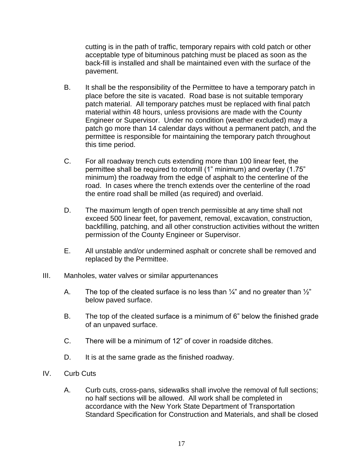cutting is in the path of traffic, temporary repairs with cold patch or other acceptable type of bituminous patching must be placed as soon as the back-fill is installed and shall be maintained even with the surface of the pavement.

- B. It shall be the responsibility of the Permittee to have a temporary patch in place before the site is vacated. Road base is not suitable temporary patch material. All temporary patches must be replaced with final patch material within 48 hours, unless provisions are made with the County Engineer or Supervisor. Under no condition (weather excluded) may a patch go more than 14 calendar days without a permanent patch, and the permittee is responsible for maintaining the temporary patch throughout this time period.
- C. For all roadway trench cuts extending more than 100 linear feet, the permittee shall be required to rotomill (1" minimum) and overlay (1.75" minimum) the roadway from the edge of asphalt to the centerline of the road. In cases where the trench extends over the centerline of the road the entire road shall be milled (as required) and overlaid.
- D. The maximum length of open trench permissible at any time shall not exceed 500 linear feet, for pavement, removal, excavation, construction, backfilling, patching, and all other construction activities without the written permission of the County Engineer or Supervisor.
- E. All unstable and/or undermined asphalt or concrete shall be removed and replaced by the Permittee.
- III. Manholes, water valves or similar appurtenances
	- A. The top of the cleated surface is no less than  $\frac{1}{4}$  and no greater than  $\frac{1}{2}$ " below paved surface.
	- B. The top of the cleated surface is a minimum of 6" below the finished grade of an unpaved surface.
	- C. There will be a minimum of 12" of cover in roadside ditches.
	- D. It is at the same grade as the finished roadway.
- IV. Curb Cuts
	- A. Curb cuts, cross-pans, sidewalks shall involve the removal of full sections; no half sections will be allowed. All work shall be completed in accordance with the New York State Department of Transportation Standard Specification for Construction and Materials, and shall be closed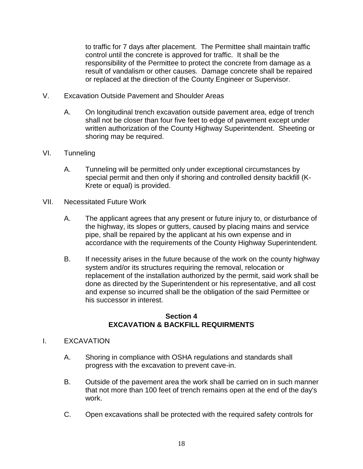to traffic for 7 days after placement. The Permittee shall maintain traffic control until the concrete is approved for traffic. It shall be the responsibility of the Permittee to protect the concrete from damage as a result of vandalism or other causes. Damage concrete shall be repaired or replaced at the direction of the County Engineer or Supervisor.

- V. Excavation Outside Pavement and Shoulder Areas
	- A. On longitudinal trench excavation outside pavement area, edge of trench shall not be closer than four five feet to edge of pavement except under written authorization of the County Highway Superintendent. Sheeting or shoring may be required.
- VI. Tunneling
	- A. Tunneling will be permitted only under exceptional circumstances by special permit and then only if shoring and controlled density backfill (K-Krete or equal) is provided.
- VII. Necessitated Future Work
	- A. The applicant agrees that any present or future injury to, or disturbance of the highway, its slopes or gutters, caused by placing mains and service pipe, shall be repaired by the applicant at his own expense and in accordance with the requirements of the County Highway Superintendent.
	- B. If necessity arises in the future because of the work on the county highway system and/or its structures requiring the removal, relocation or replacement of the installation authorized by the permit, said work shall be done as directed by the Superintendent or his representative, and all cost and expense so incurred shall be the obligation of the said Permittee or his successor in interest.

### **Section 4 EXCAVATION & BACKFILL REQUIRMENTS**

- I. EXCAVATION
	- A. Shoring in compliance with OSHA regulations and standards shall progress with the excavation to prevent cave-in.
	- B. Outside of the pavement area the work shall be carried on in such manner that not more than 100 feet of trench remains open at the end of the day's work.
	- C. Open excavations shall be protected with the required safety controls for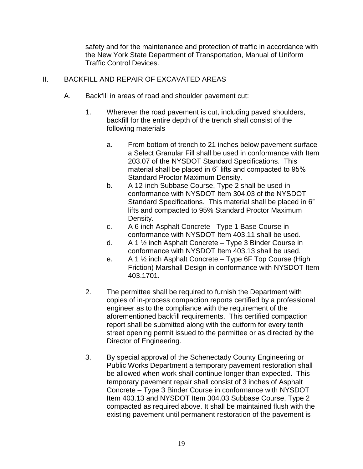safety and for the maintenance and protection of traffic in accordance with the New York State Department of Transportation, Manual of Uniform Traffic Control Devices.

# II. BACKFILL AND REPAIR OF EXCAVATED AREAS

- A. Backfill in areas of road and shoulder pavement cut:
	- 1. Wherever the road pavement is cut, including paved shoulders, backfill for the entire depth of the trench shall consist of the following materials
		- a. From bottom of trench to 21 inches below pavement surface a Select Granular Fill shall be used in conformance with Item 203.07 of the NYSDOT Standard Specifications. This material shall be placed in 6" lifts and compacted to 95% Standard Proctor Maximum Density.
		- b. A 12-inch Subbase Course, Type 2 shall be used in conformance with NYSDOT Item 304.03 of the NYSDOT Standard Specifications. This material shall be placed in 6" lifts and compacted to 95% Standard Proctor Maximum Density.
		- c. A 6 inch Asphalt Concrete Type 1 Base Course in conformance with NYSDOT Item 403.11 shall be used.
		- d. A 1 ½ inch Asphalt Concrete Type 3 Binder Course in conformance with NYSDOT Item 403.13 shall be used.
		- e. A 1 ½ inch Asphalt Concrete Type 6F Top Course (High Friction) Marshall Design in conformance with NYSDOT Item 403.1701.
	- 2. The permittee shall be required to furnish the Department with copies of in-process compaction reports certified by a professional engineer as to the compliance with the requirement of the aforementioned backfill requirements. This certified compaction report shall be submitted along with the cutform for every tenth street opening permit issued to the permittee or as directed by the Director of Engineering.
	- 3. By special approval of the Schenectady County Engineering or Public Works Department a temporary pavement restoration shall be allowed when work shall continue longer than expected. This temporary pavement repair shall consist of 3 inches of Asphalt Concrete – Type 3 Binder Course in conformance with NYSDOT Item 403.13 and NYSDOT Item 304.03 Subbase Course, Type 2 compacted as required above. It shall be maintained flush with the existing pavement until permanent restoration of the pavement is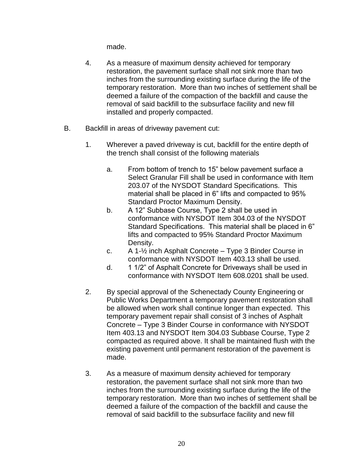made.

- 4. As a measure of maximum density achieved for temporary restoration, the pavement surface shall not sink more than two inches from the surrounding existing surface during the life of the temporary restoration. More than two inches of settlement shall be deemed a failure of the compaction of the backfill and cause the removal of said backfill to the subsurface facility and new fill installed and properly compacted.
- B. Backfill in areas of driveway pavement cut:
	- 1. Wherever a paved driveway is cut, backfill for the entire depth of the trench shall consist of the following materials
		- a. From bottom of trench to 15" below pavement surface a Select Granular Fill shall be used in conformance with Item 203.07 of the NYSDOT Standard Specifications. This material shall be placed in 6" lifts and compacted to 95% Standard Proctor Maximum Density.
		- b. A 12" Subbase Course, Type 2 shall be used in conformance with NYSDOT Item 304.03 of the NYSDOT Standard Specifications. This material shall be placed in 6" lifts and compacted to 95% Standard Proctor Maximum Density.
		- c. A 1-½ inch Asphalt Concrete Type 3 Binder Course in conformance with NYSDOT Item 403.13 shall be used.
		- d. 1 1/2" of Asphalt Concrete for Driveways shall be used in conformance with NYSDOT Item 608.0201 shall be used.
	- 2. By special approval of the Schenectady County Engineering or Public Works Department a temporary pavement restoration shall be allowed when work shall continue longer than expected. This temporary pavement repair shall consist of 3 inches of Asphalt Concrete – Type 3 Binder Course in conformance with NYSDOT Item 403.13 and NYSDOT Item 304.03 Subbase Course, Type 2 compacted as required above. It shall be maintained flush with the existing pavement until permanent restoration of the pavement is made.
	- 3. As a measure of maximum density achieved for temporary restoration, the pavement surface shall not sink more than two inches from the surrounding existing surface during the life of the temporary restoration. More than two inches of settlement shall be deemed a failure of the compaction of the backfill and cause the removal of said backfill to the subsurface facility and new fill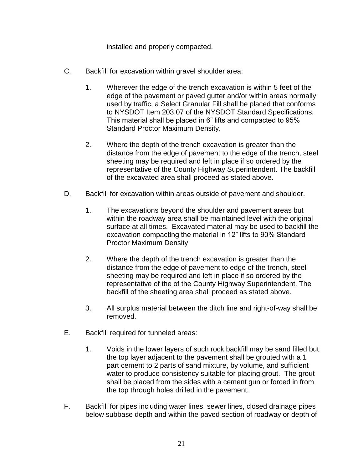installed and properly compacted.

- C. Backfill for excavation within gravel shoulder area:
	- 1. Wherever the edge of the trench excavation is within 5 feet of the edge of the pavement or paved gutter and/or within areas normally used by traffic, a Select Granular Fill shall be placed that conforms to NYSDOT Item 203.07 of the NYSDOT Standard Specifications. This material shall be placed in 6" lifts and compacted to 95% Standard Proctor Maximum Density.
	- 2. Where the depth of the trench excavation is greater than the distance from the edge of pavement to the edge of the trench, steel sheeting may be required and left in place if so ordered by the representative of the County Highway Superintendent. The backfill of the excavated area shall proceed as stated above.
- D. Backfill for excavation within areas outside of pavement and shoulder.
	- 1. The excavations beyond the shoulder and pavement areas but within the roadway area shall be maintained level with the original surface at all times. Excavated material may be used to backfill the excavation compacting the material in 12" lifts to 90% Standard Proctor Maximum Density
	- 2. Where the depth of the trench excavation is greater than the distance from the edge of pavement to edge of the trench, steel sheeting may be required and left in place if so ordered by the representative of the of the County Highway Superintendent. The backfill of the sheeting area shall proceed as stated above.
	- 3. All surplus material between the ditch line and right-of-way shall be removed.
- E. Backfill required for tunneled areas:
	- 1. Voids in the lower layers of such rock backfill may be sand filled but the top layer adjacent to the pavement shall be grouted with a 1 part cement to 2 parts of sand mixture, by volume, and sufficient water to produce consistency suitable for placing grout. The grout shall be placed from the sides with a cement gun or forced in from the top through holes drilled in the pavement.
- F. Backfill for pipes including water lines, sewer lines, closed drainage pipes below subbase depth and within the paved section of roadway or depth of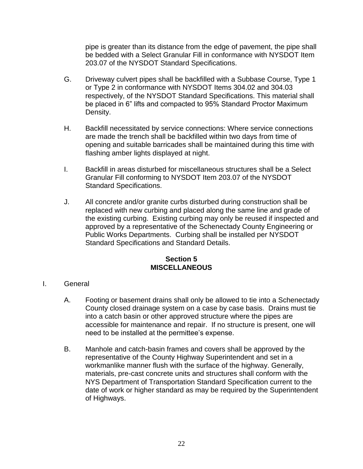pipe is greater than its distance from the edge of pavement, the pipe shall be bedded with a Select Granular Fill in conformance with NYSDOT Item 203.07 of the NYSDOT Standard Specifications.

- G. Driveway culvert pipes shall be backfilled with a Subbase Course, Type 1 or Type 2 in conformance with NYSDOT Items 304.02 and 304.03 respectively, of the NYSDOT Standard Specifications. This material shall be placed in 6" lifts and compacted to 95% Standard Proctor Maximum Density.
- H. Backfill necessitated by service connections: Where service connections are made the trench shall be backfilled within two days from time of opening and suitable barricades shall be maintained during this time with flashing amber lights displayed at night.
- I. Backfill in areas disturbed for miscellaneous structures shall be a Select Granular Fill conforming to NYSDOT Item 203.07 of the NYSDOT Standard Specifications.
- J. All concrete and/or granite curbs disturbed during construction shall be replaced with new curbing and placed along the same line and grade of the existing curbing. Existing curbing may only be reused if inspected and approved by a representative of the Schenectady County Engineering or Public Works Departments. Curbing shall be installed per NYSDOT Standard Specifications and Standard Details.

# **Section 5 MISCELLANEOUS**

- I. General
	- A. Footing or basement drains shall only be allowed to tie into a Schenectady County closed drainage system on a case by case basis. Drains must tie into a catch basin or other approved structure where the pipes are accessible for maintenance and repair. If no structure is present, one will need to be installed at the permittee's expense.
	- B. Manhole and catch-basin frames and covers shall be approved by the representative of the County Highway Superintendent and set in a workmanlike manner flush with the surface of the highway. Generally, materials, pre-cast concrete units and structures shall conform with the NYS Department of Transportation Standard Specification current to the date of work or higher standard as may be required by the Superintendent of Highways.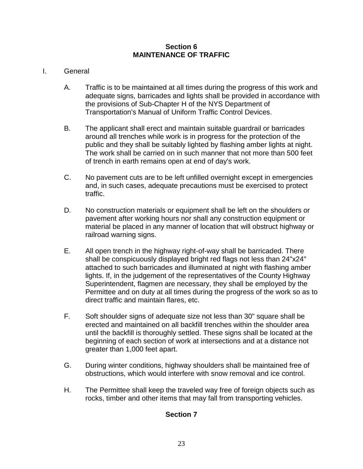# **Section 6 MAINTENANCE OF TRAFFIC**

# I. General

- A. Traffic is to be maintained at all times during the progress of this work and adequate signs, barricades and lights shall be provided in accordance with the provisions of Sub-Chapter H of the NYS Department of Transportation's Manual of Uniform Traffic Control Devices.
- B. The applicant shall erect and maintain suitable guardrail or barricades around all trenches while work is in progress for the protection of the public and they shall be suitably lighted by flashing amber lights at night. The work shall be carried on in such manner that not more than 500 feet of trench in earth remains open at end of day's work.
- C. No pavement cuts are to be left unfilled overnight except in emergencies and, in such cases, adequate precautions must be exercised to protect traffic.
- D. No construction materials or equipment shall be left on the shoulders or pavement after working hours nor shall any construction equipment or material be placed in any manner of location that will obstruct highway or railroad warning signs.
- E. All open trench in the highway right-of-way shall be barricaded. There shall be conspicuously displayed bright red flags not less than 24"x24" attached to such barricades and illuminated at night with flashing amber lights. If, in the judgement of the representatives of the County Highway Superintendent, flagmen are necessary, they shall be employed by the Permittee and on duty at all times during the progress of the work so as to direct traffic and maintain flares, etc.
- F. Soft shoulder signs of adequate size not less than 30" square shall be erected and maintained on all backfill trenches within the shoulder area until the backfill is thoroughly settled. These signs shall be located at the beginning of each section of work at intersections and at a distance not greater than 1,000 feet apart.
- G. During winter conditions, highway shoulders shall be maintained free of obstructions, which would interfere with snow removal and ice control.
- H. The Permittee shall keep the traveled way free of foreign objects such as rocks, timber and other items that may fall from transporting vehicles.

# **Section 7**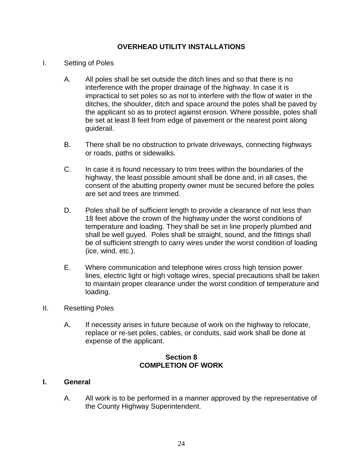# **OVERHEAD UTILITY INSTALLATIONS**

- I. Setting of Poles
	- A. All poles shall be set outside the ditch lines and so that there is no interference with the proper drainage of the highway. In case it is impractical to set poles so as not to interfere with the flow of water in the ditches, the shoulder, ditch and space around the poles shall be paved by the applicant so as to protect against erosion. Where possible, poles shall be set at least 8 feet from edge of pavement or the nearest point along guiderail.
	- B. There shall be no obstruction to private driveways, connecting highways or roads, paths or sidewalks.
	- C. In case it is found necessary to trim trees within the boundaries of the highway, the least possible amount shall be done and, in all cases, the consent of the abutting property owner must be secured before the poles are set and trees are trimmed.
	- D. Poles shall be of sufficient length to provide a clearance of not less than 18 feet above the crown of the highway under the worst conditions of temperature and loading. They shall be set in line properly plumbed and shall be well guyed. Poles shall be straight, sound, and the fittings shall be of sufficient strength to carry wires under the worst condition of loading (ice, wind, etc.).
	- E. Where communication and telephone wires cross high tension power lines, electric light or high voltage wires, special precautions shall be taken to maintain proper clearance under the worst condition of temperature and loading.
- II. Resetting Poles
	- A. If necessity arises in future because of work on the highway to relocate, replace or re-set poles, cables, or conduits, said work shall be done at expense of the applicant.

# **Section 8 COMPLETION OF WORK**

# **I. General**

A. All work is to be performed in a manner approved by the representative of the County Highway Superintendent.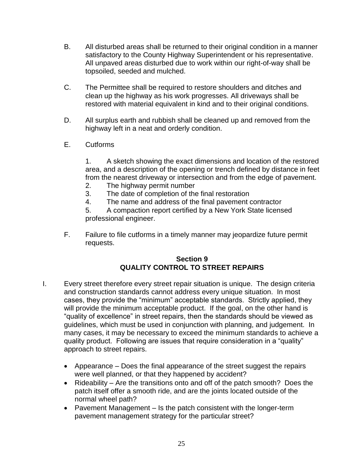- B. All disturbed areas shall be returned to their original condition in a manner satisfactory to the County Highway Superintendent or his representative. All unpaved areas disturbed due to work within our right-of-way shall be topsoiled, seeded and mulched.
- C. The Permittee shall be required to restore shoulders and ditches and clean up the highway as his work progresses. All driveways shall be restored with material equivalent in kind and to their original conditions.
- D. All surplus earth and rubbish shall be cleaned up and removed from the highway left in a neat and orderly condition.
- E. Cutforms

1. A sketch showing the exact dimensions and location of the restored area, and a description of the opening or trench defined by distance in feet from the nearest driveway or intersection and from the edge of pavement.

- 2. The highway permit number
- 3. The date of completion of the final restoration
- 4. The name and address of the final pavement contractor

5. A compaction report certified by a New York State licensed professional engineer.

F. Failure to file cutforms in a timely manner may jeopardize future permit requests.

# **Section 9 QUALITY CONTROL TO STREET REPAIRS**

- I. Every street therefore every street repair situation is unique. The design criteria and construction standards cannot address every unique situation. In most cases, they provide the "minimum" acceptable standards. Strictly applied, they will provide the minimum acceptable product. If the goal, on the other hand is "quality of excellence" in street repairs, then the standards should be viewed as guidelines, which must be used in conjunction with planning, and judgement. In many cases, it may be necessary to exceed the minimum standards to achieve a quality product. Following are issues that require consideration in a "quality" approach to street repairs.
	- Appearance Does the final appearance of the street suggest the repairs were well planned, or that they happened by accident?
	- Rideability Are the transitions onto and off of the patch smooth? Does the patch itself offer a smooth ride, and are the joints located outside of the normal wheel path?
	- Pavement Management Is the patch consistent with the longer-term pavement management strategy for the particular street?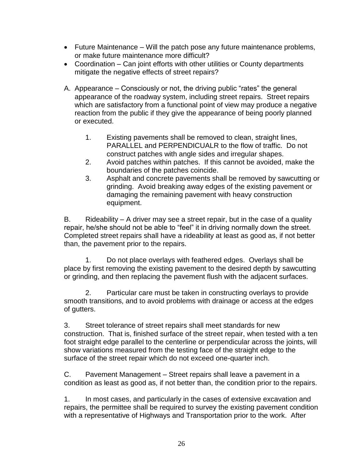- Future Maintenance Will the patch pose any future maintenance problems, or make future maintenance more difficult?
- Coordination Can joint efforts with other utilities or County departments mitigate the negative effects of street repairs?
- A. Appearance Consciously or not, the driving public "rates" the general appearance of the roadway system, including street repairs. Street repairs which are satisfactory from a functional point of view may produce a negative reaction from the public if they give the appearance of being poorly planned or executed.
	- 1. Existing pavements shall be removed to clean, straight lines, PARALLEL and PERPENDICUALR to the flow of traffic. Do not construct patches with angle sides and irregular shapes.
	- 2. Avoid patches within patches. If this cannot be avoided, make the boundaries of the patches coincide.
	- 3. Asphalt and concrete pavements shall be removed by sawcutting or grinding. Avoid breaking away edges of the existing pavement or damaging the remaining pavement with heavy construction equipment.

B. Rideability  $-$  A driver may see a street repair, but in the case of a quality repair, he/she should not be able to "feel" it in driving normally down the street. Completed street repairs shall have a rideability at least as good as, if not better than, the pavement prior to the repairs.

1. Do not place overlays with feathered edges. Overlays shall be place by first removing the existing pavement to the desired depth by sawcutting or grinding, and then replacing the pavement flush with the adjacent surfaces.

2. Particular care must be taken in constructing overlays to provide smooth transitions, and to avoid problems with drainage or access at the edges of gutters.

3. Street tolerance of street repairs shall meet standards for new construction. That is, finished surface of the street repair, when tested with a ten foot straight edge parallel to the centerline or perpendicular across the joints, will show variations measured from the testing face of the straight edge to the surface of the street repair which do not exceed one-quarter inch.

C. Pavement Management – Street repairs shall leave a pavement in a condition as least as good as, if not better than, the condition prior to the repairs.

1. In most cases, and particularly in the cases of extensive excavation and repairs, the permittee shall be required to survey the existing pavement condition with a representative of Highways and Transportation prior to the work. After